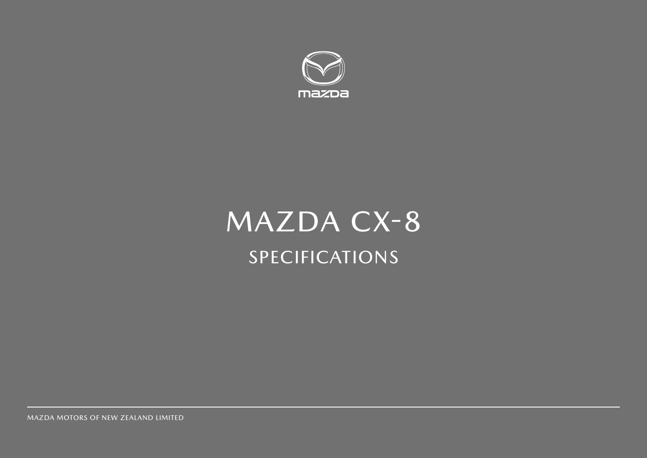

# MAZDA CX-8 SPECIFICATIONS

MAZDA MOTORS OF NEW ZEALAND LIMITED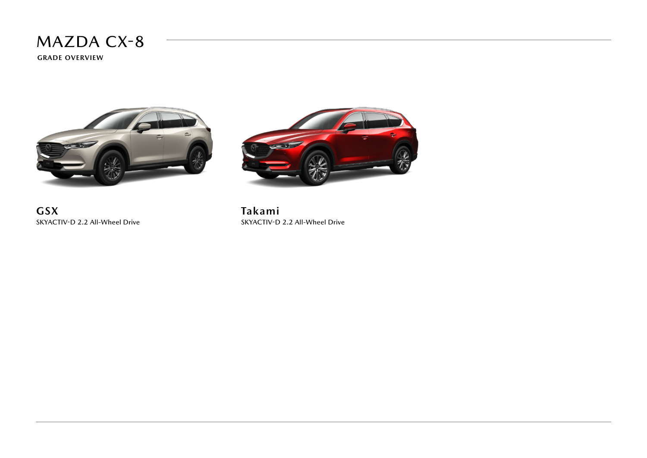**GRADE OVERVIEW**



**GSX** SKYACTIV-D 2.2 All-Wheel Drive



**Takami** SKYACTIV-D 2.2 All-Wheel Drive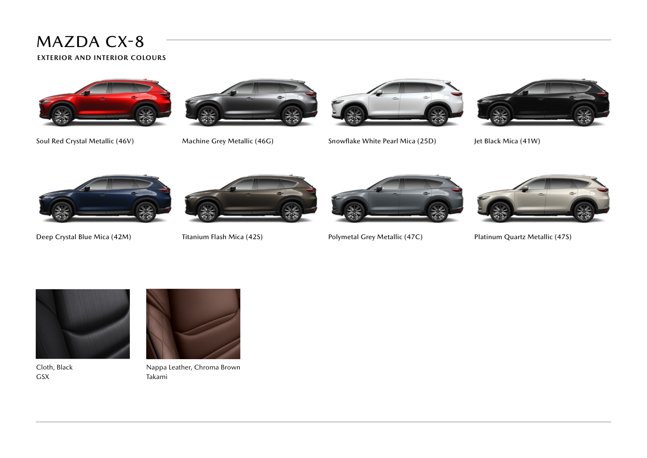**EXTERIOR AND INTERIOR COLOURS**





Soul Red Crystal Metallic (46V) Machine Grey Metallic (46G) Snowflake White Pearl Mica (25D) Jet Black Mica (41W)









Deep Crystal Blue Mica (42M) Titanium Flash Mica (42S) Polymetal Grey Metallic (47C) Platinum Quartz Metallic (47S)





Cloth, Black GSX



Nappa Leather, Chroma Brown Takami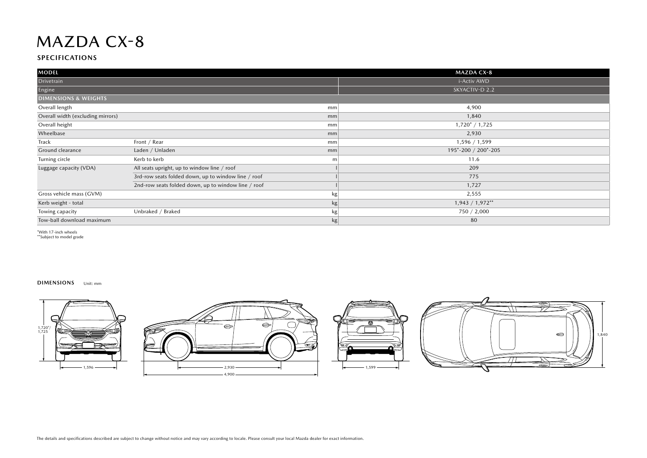#### **SPECIFICATIONS**

| <b>MODEL</b>                      |                                                     |               | <b>MAZDA CX-8</b>   |
|-----------------------------------|-----------------------------------------------------|---------------|---------------------|
| Drivetrain                        |                                                     |               | i-Activ AWD         |
| Engine                            |                                                     |               | SKYACTIV-D 2.2      |
| <b>DIMENSIONS &amp; WEIGHTS</b>   |                                                     |               |                     |
| Overall length                    |                                                     | mm            | 4,900               |
| Overall width (excluding mirrors) |                                                     | mm            | 1,840               |
| Overall height                    |                                                     | mm            | $1,720^* / 1,725$   |
| Wheelbase                         |                                                     | mm            | 2,930               |
| Track                             | Front / Rear                                        | mm            | 1,596 / 1,599       |
| Ground clearance                  | Laden / Unladen                                     | mm            | 195*-200 / 200*-205 |
| Turning circle                    | Kerb to kerb                                        | m             | 11.6                |
| Luggage capacity (VDA)            | All seats upright, up to window line / roof         |               | 209                 |
|                                   | 3rd-row seats folded down, up to window line / roof |               | 775                 |
|                                   | 2nd-row seats folded down, up to window line / roof |               | 1,727               |
| Gross vehicle mass (GVM)          |                                                     | kg            | 2,555               |
| Kerb weight - total               |                                                     | $\mathsf{kg}$ | $1,943 / 1,972**$   |
| Towing capacity                   | Unbraked / Braked                                   | kg            | 750 / 2,000         |
| Tow-ball download maximum         |                                                     | kg            | 80                  |

\*With 17-inch wheels \*\*Subject to model grade

#### **DIMENSIONS** Unit: mm





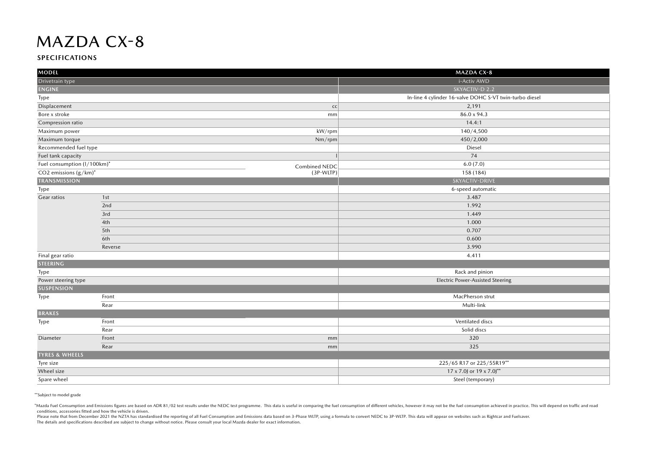#### **SPECIFICATIONS**

| <b>MODEL</b>                |               | <b>MAZDA CX-8</b>                                       |  |
|-----------------------------|---------------|---------------------------------------------------------|--|
| Drivetrain type             |               | i-Activ AWD                                             |  |
| <b>ENGINE</b>               |               | SKYACTIV-D 2.2                                          |  |
| Type                        |               | In-line 4 cylinder 16-valve DOHC S-VT twin-turbo diesel |  |
| Displacement                | CC            | 2,191                                                   |  |
| Bore x stroke               | mm            | 86.0 x 94.3                                             |  |
| Compression ratio           |               | 14.4:1                                                  |  |
| Maximum power               | kW/rpm        | 140/4,500                                               |  |
| Maximum torque              | Nm/rpm        | 450/2,000                                               |  |
| Recommended fuel type       |               | Diesel                                                  |  |
| Fuel tank capacity          |               | 74                                                      |  |
| Fuel consumption (I/100km)* | Combined NEDC | 6.0(7.0)                                                |  |
| CO2 emissions $(g/km)^*$    | (3P-WLTP)     | 158 (184)                                               |  |
| <b>TRANSMISSION</b>         |               | SKYACTIV-DRIVE                                          |  |
| Type                        |               | 6-speed automatic                                       |  |
| Gear ratios                 | 1st           | 3.487                                                   |  |
|                             | 2nd           | 1.992                                                   |  |
|                             | 3rd           | 1.449                                                   |  |
|                             | 4th           | 1.000                                                   |  |
|                             | 5th           | 0.707                                                   |  |
|                             | 6th           | 0.600                                                   |  |
|                             | Reverse       | 3.990                                                   |  |
| Final gear ratio            |               | 4.411                                                   |  |
| <b>STEERING</b>             |               |                                                         |  |
| Type                        |               | Rack and pinion                                         |  |
| Power steering type         |               | <b>Electric Power-Assisted Steering</b>                 |  |
| <b>SUSPENSION</b>           |               |                                                         |  |
| Type                        | Front         | MacPherson strut                                        |  |
|                             | Rear          | Multi-link                                              |  |
| <b>BRAKES</b>               |               |                                                         |  |
| Type                        | Front         | Ventilated discs                                        |  |
|                             | Rear          | Solid discs                                             |  |
| Diameter                    | Front<br>mm   | 320                                                     |  |
|                             | Rear<br>mm    | 325                                                     |  |
| <b>TYRES &amp; WHEELS</b>   |               |                                                         |  |
| Tyre size                   |               | 225/65 R17 or 225/55R19**                               |  |
| Wheel size                  |               | 17 x 7.0J or 19 x 7.0J**                                |  |
| Spare wheel                 |               | Steel (temporary)                                       |  |

\*\*Subject to model grade

\*Mazda Fuel Consumption and Emissions figures are based on ADR 81/02 test results under the NEDC test programme. This data is useful in comparing the fuel consumption of different vehicles, however it may not be the fuel c conditions, accessories fitted and how the vehicle is driven.

Please note that from December 2021 the NZTA has standardised the reporting of all Fuel Consumption and Emissions data based on 3-Phase WLTP, using a formula to convert NEDC to 3P-WLTP. This data will appear on websites su The details and specifications described are subject to change without notice. Please consult your local Mazda dealer for exact information.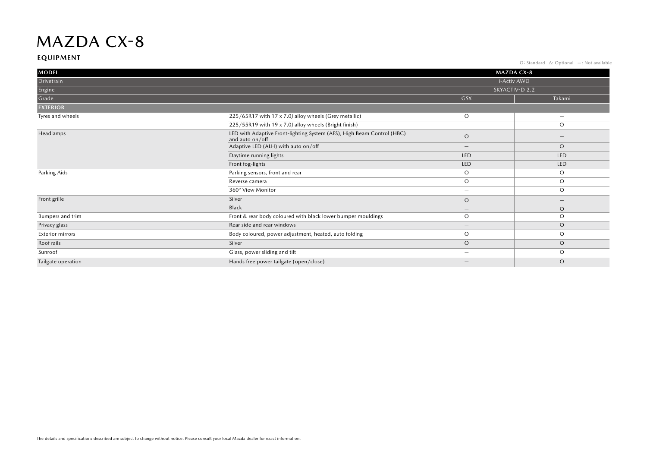#### **EQUIPMENT**

O: Standard ∆: Optional —: Not available

| <b>MODEL</b>            |                                                                                           |                                 | <b>MAZDA CX-8</b>               |
|-------------------------|-------------------------------------------------------------------------------------------|---------------------------------|---------------------------------|
| Drivetrain              |                                                                                           | i-Activ AWD                     |                                 |
| Engine                  |                                                                                           | SKYACTIV-D 2.2                  |                                 |
| Grade                   |                                                                                           | <b>GSX</b>                      | Takami                          |
| <b>EXTERIOR</b>         |                                                                                           |                                 |                                 |
| Tyres and wheels        | 225/65R17 with 17 x 7.0J alloy wheels (Grey metallic)                                     | $\circ$                         | $\overline{\phantom{a}}$        |
|                         | 225/55R19 with 19 x 7.0J alloy wheels (Bright finish)                                     | $\overline{\phantom{a}}$        | $\circ$                         |
| Headlamps               | LED with Adaptive Front-lighting System (AFS), High Beam Control (HBC)<br>and auto on/off | $\circ$                         | $\overline{\phantom{a}}$        |
|                         | Adaptive LED (ALH) with auto on/off                                                       | $\hspace{0.1mm}-\hspace{0.1mm}$ | $\circ$                         |
|                         | Daytime running lights                                                                    | LED                             | LED                             |
|                         | Front fog-lights                                                                          | LED                             | LED                             |
| Parking Aids            | Parking sensors, front and rear                                                           | $\circ$                         | $\circ$                         |
|                         | Reverse camera                                                                            | $\circ$                         | $\circ$                         |
|                         | 360° View Monitor                                                                         | $\overline{\phantom{a}}$        | $\circ$                         |
| Front grille            | Silver                                                                                    | $\circ$                         | $\hspace{0.1mm}-\hspace{0.1mm}$ |
|                         | Black                                                                                     | $\hspace{0.1mm}-\hspace{0.1mm}$ | $\circ$                         |
| Bumpers and trim        | Front & rear body coloured with black lower bumper mouldings                              | $\circ$                         | $\circ$                         |
| Privacy glass           | Rear side and rear windows                                                                | $\hspace{0.1mm}-\hspace{0.1mm}$ | $\circ$                         |
| <b>Exterior mirrors</b> | Body coloured, power adjustment, heated, auto folding                                     | $\circ$                         | $\circ$                         |
| Roof rails              | Silver                                                                                    | $\circ$                         | $\circ$                         |
| Sunroof                 | Glass, power sliding and tilt                                                             | $\overline{\phantom{a}}$        | $\circ$                         |
| Tailgate operation      | Hands free power tailgate (open/close)                                                    |                                 | $\circ$                         |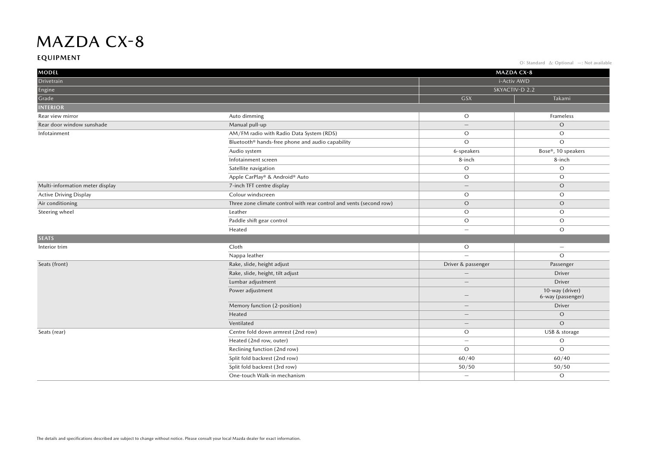#### **EQUIPMENT**

O: Standard ∆: Optional —: Not available

| <b>MODEL</b>                    | MAZDA CX-8                                                          |                          |                                      |
|---------------------------------|---------------------------------------------------------------------|--------------------------|--------------------------------------|
| Drivetrain                      |                                                                     |                          | i-Activ AWD                          |
| Engine                          |                                                                     |                          | SKYACTIV-D 2.2                       |
| Grade                           |                                                                     | <b>GSX</b>               | Takami                               |
| <b>INTERIOR</b>                 |                                                                     |                          |                                      |
| Rear view mirror                | Auto dimming                                                        | $\circ$                  | Frameless                            |
| Rear door window sunshade       | Manual pull-up                                                      | $\overline{\phantom{0}}$ | $\circ$                              |
| Infotainment                    | AM/FM radio with Radio Data System (RDS)                            | $\circ$                  | $\circ$                              |
|                                 | Bluetooth® hands-free phone and audio capability                    | $\circ$                  | $\circ$                              |
|                                 | Audio system                                                        | 6-speakers               | Bose®, 10 speakers                   |
|                                 | Infotainment screen                                                 | 8-inch                   | 8-inch                               |
|                                 | Satellite navigation                                                | $\mathcal O$             | $\circ$                              |
|                                 | Apple CarPlay® & Android® Auto                                      | $\circ$                  | $\circ$                              |
| Multi-information meter display | 7-inch TFT centre display                                           | $\qquad \qquad -$        | $\circ$                              |
| <b>Active Driving Display</b>   | Colour windscreen                                                   | $\circ$                  | $\circ$                              |
| Air conditioning                | Three zone climate control with rear control and vents (second row) | $\circ$                  | $\circ$                              |
| Steering wheel                  | Leather                                                             | $\circ$                  | $\circ$                              |
|                                 | Paddle shift gear control                                           | $\circ$                  | $\circ$                              |
|                                 | Heated                                                              | $\overline{\phantom{0}}$ | $\circ$                              |
| <b>SEATS</b>                    |                                                                     |                          |                                      |
| Interior trim                   | Cloth                                                               | O                        | $\overline{\phantom{m}}$             |
|                                 | Nappa leather                                                       | $\overline{\phantom{a}}$ | $\circ$                              |
| Seats (front)                   | Rake, slide, height adjust                                          | Driver & passenger       | Passenger                            |
|                                 | Rake, slide, height, tilt adjust                                    |                          | Driver                               |
|                                 | Lumbar adjustment                                                   |                          | Driver                               |
|                                 | Power adjustment                                                    |                          | 10-way (driver)<br>6-way (passenger) |
|                                 | Memory function (2-position)                                        |                          | Driver                               |
|                                 | Heated                                                              |                          | $\circ$                              |
|                                 | Ventilated                                                          |                          | $\circ$                              |
| Seats (rear)                    | Centre fold down armrest (2nd row)                                  | $\circ$                  | USB & storage                        |
|                                 | Heated (2nd row, outer)                                             | $\overline{\phantom{0}}$ | $\mathsf O$                          |
|                                 | Reclining function (2nd row)                                        | $\circ$                  | $\circ$                              |
|                                 | Split fold backrest (2nd row)                                       | 60/40                    | 60/40                                |
|                                 | Split fold backrest (3rd row)                                       | 50/50                    | 50/50                                |
|                                 | One-touch Walk-in mechanism                                         | $\overline{\phantom{0}}$ | $\circ$                              |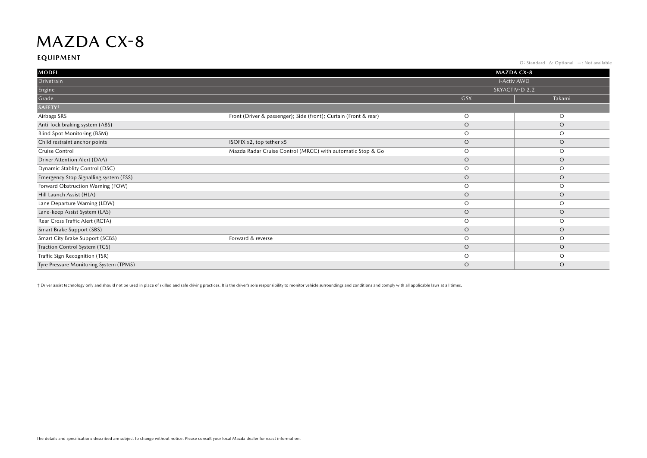#### **EQUIPMENT**

O: Standard ∆: Optional —: Not available

| <b>MODEL</b>                           |                                                                  |             | <b>MAZDA CX-8</b> |
|----------------------------------------|------------------------------------------------------------------|-------------|-------------------|
| Drivetrain                             |                                                                  | i-Activ AWD |                   |
| Engine                                 | SKYACTIV-D 2.2                                                   |             |                   |
| Grade                                  |                                                                  | <b>GSX</b>  | Takami            |
| SAFETY <sup>+</sup>                    |                                                                  |             |                   |
| Airbags SRS                            | Front (Driver & passenger); Side (front); Curtain (Front & rear) | $\circ$     | $\circ$           |
| Anti-lock braking system (ABS)         |                                                                  | $\circ$     | $\circ$           |
| Blind Spot Monitoring (BSM)            |                                                                  | $\circ$     | $\circ$           |
| Child restraint anchor points          | ISOFIX x2, top tether x5                                         | $\circ$     | $\circ$           |
| Cruise Control                         | Mazda Radar Cruise Control (MRCC) with automatic Stop & Go       | $\circ$     | $\circ$           |
| Driver Attention Alert (DAA)           |                                                                  | $\circ$     | $\circ$           |
| Dynamic Stablity Control (DSC)         |                                                                  | $\circ$     | $\circ$           |
| Emergency Stop Signalling system (ESS) |                                                                  | $\circ$     | $\circ$           |
| Forward Obstruction Warning (FOW)      |                                                                  | $\circ$     | $\circ$           |
| Hill Launch Assist (HLA)               |                                                                  | $\circ$     | $\circ$           |
| Lane Departure Warning (LDW)           |                                                                  | $\circ$     | $\circ$           |
| Lane-keep Assist System (LAS)          |                                                                  | $\circ$     | $\circ$           |
| Rear Cross Traffic Alert (RCTA)        |                                                                  | $\circ$     | $\circ$           |
| Smart Brake Support (SBS)              |                                                                  | $\circ$     | $\circ$           |
| Smart City Brake Support (SCBS)        | Forward & reverse                                                | $\circ$     | $\circ$           |
| Traction Control System (TCS)          |                                                                  | $\circ$     | $\circ$           |
| Traffic Sign Recognition (TSR)         |                                                                  | $\circ$     | $\circ$           |
| Tyre Pressure Monitoring System (TPMS) |                                                                  | $\circ$     | $\circ$           |

+ Driver assist technology only and should not be used in place of skilled and safe driving practices. It is the driver's sole responsibility to monitor vehicle surroundings and conditions and comply with all applicable la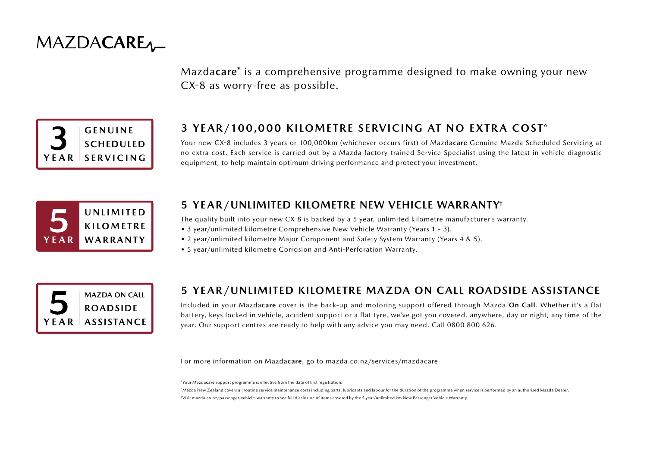

Mazda**care**\* is a comprehensive programme designed to make owning your new CX-8 as worry-free as possible.



#### **3 YEAR/100,000 KILOMETRE SERVICING AT NO EXTRA COST^**

Your new CX-8 includes 3 years or 100,000km (whichever occurs first) of Mazda**care** Genuine Mazda Scheduled Servicing at no extra cost. Each service is carried out by a Mazda factory-trained Service Specialist using the latest in vehicle diagnostic equipment, to help maintain optimum driving performance and protect your investment.



#### **5 YEAR/UNLIMITED KILOMETRE NEW VEHICLE WARRANTY†**

The quality built into your new CX-8 is backed by a 5 year, unlimited kilometre manufacturer's warranty.

- 3 year/unlimited kilometre Comprehensive New Vehicle Warranty (Years 1 3).
- 2 year/unlimited kilometre Major Component and Safety System Warranty (Years 4 & 5).
- 5 year/unlimited kilometre Corrosion and Anti-Perforation Warranty.



#### **5 YEAR/UNLIMITED KILOMETRE MAZDA ON CALL ROADSIDE ASSISTANCE**

Included in your Mazda**care** cover is the back-up and motoring support offered through Mazda **On Call**. Whether it's a flat battery, keys locked in vehicle, accident support or a flat tyre, we've got you covered, anywhere, day or night, any time of the year. Our support centres are ready to help with any advice you may need. Call 0800 800 626.

For more information on Mazda**care**, go to mazda.co.nz/services/mazdacare

\*Your Mazda**care** support programme is effective from the date of first registration.

^Mazda New Zealand covers all routine service maintenance costs including parts, lubricants and labour for the duration of the programme when service is performed by an authorised Mazda Dealer. †Visit mazda.co.nz/passenger-vehicle-warranty to see full disclosure of items covered by the 5 year/unlimited km New Passenger Vehicle Warranty.